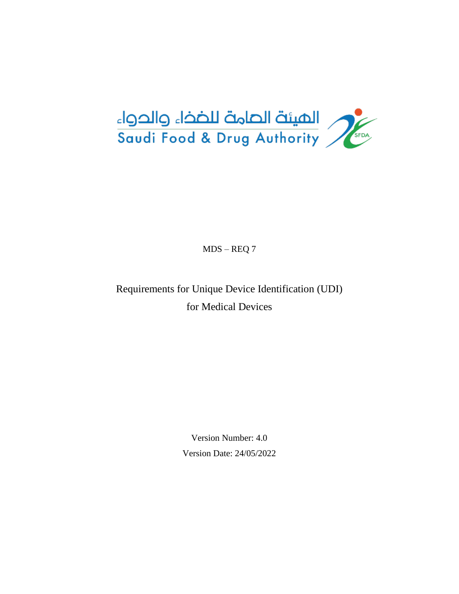

MDS – REQ 7

Requirements for Unique Device Identification (UDI) for Medical Devices

> Version Number: 4.0 Version Date: 24/05/2022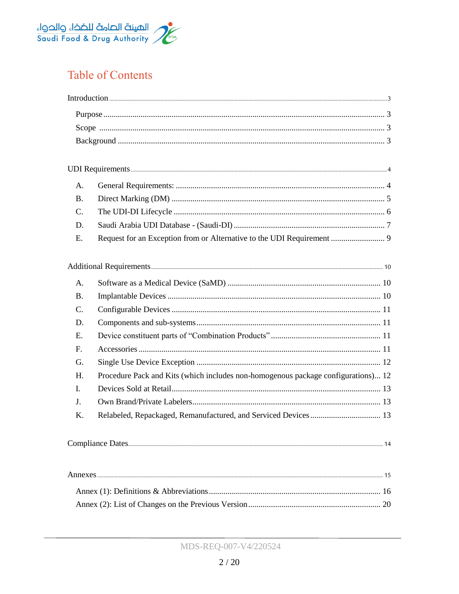

# **Table of Contents**

| A.             |                                                                                   |
|----------------|-----------------------------------------------------------------------------------|
| <b>B.</b>      |                                                                                   |
| $\mathbf{C}$ . |                                                                                   |
| D.             |                                                                                   |
| Е.             |                                                                                   |
|                |                                                                                   |
| A <sub>1</sub> |                                                                                   |
| <b>B.</b>      |                                                                                   |
| C.             |                                                                                   |
| D.             |                                                                                   |
| E.             |                                                                                   |
| $F_{\cdot}$    |                                                                                   |
| G.             |                                                                                   |
| H.             | Procedure Pack and Kits (which includes non-homogenous package configurations) 12 |
| I.             |                                                                                   |
| J.             |                                                                                   |
| K.             |                                                                                   |
|                |                                                                                   |
|                |                                                                                   |
|                |                                                                                   |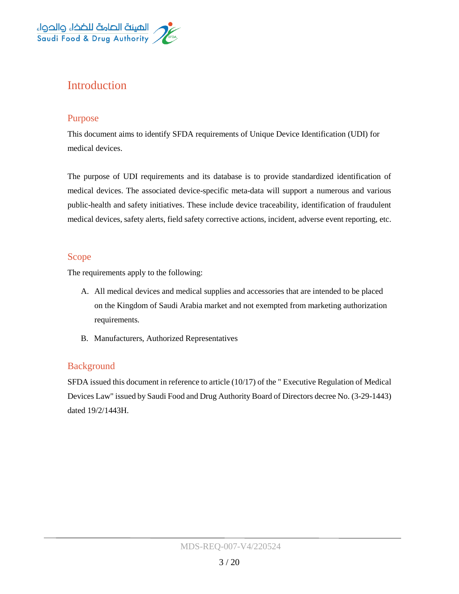

# <span id="page-2-0"></span>**Introduction**

### <span id="page-2-1"></span>Purpose

This document aims to identify SFDA requirements of Unique Device Identification (UDI) for medical devices.

The purpose of UDI requirements and its database is to provide standardized identification of medical devices. The associated device-specific meta-data will support a numerous and various public-health and safety initiatives. These include device traceability, identification of fraudulent medical devices, safety alerts, field safety corrective actions, incident, adverse event reporting, etc.

#### <span id="page-2-2"></span>Scope

The requirements apply to the following:

- A. All medical devices and medical supplies and accessories that are intended to be placed on the Kingdom of Saudi Arabia market and not exempted from marketing authorization requirements.
- B. Manufacturers, Authorized Representatives

### <span id="page-2-3"></span>Background

SFDA issued this document in reference to article (10/17) of the " Executive Regulation of Medical Devices Law" issued by Saudi Food and Drug Authority Board of Directors decree No. (3-29-1443) dated 19/2/1443H.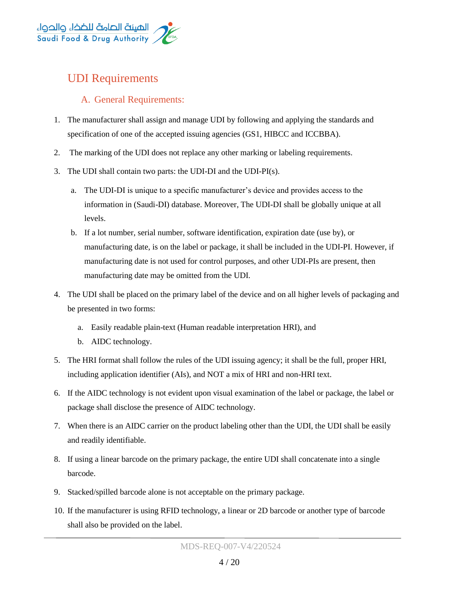

# <span id="page-3-0"></span>UDI Requirements

### <span id="page-3-1"></span>A. General Requirements:

- 1. The manufacturer shall assign and manage UDI by following and applying the standards and specification of one of the accepted issuing agencies (GS1, HIBCC and ICCBBA).
- 2. The marking of the UDI does not replace any other marking or labeling requirements.
- 3. The UDI shall contain two parts: the UDI-DI and the UDI-PI(s).
	- a. The UDI-DI is unique to a specific manufacturer's device and provides access to the information in (Saudi-DI) database. Moreover, The UDI-DI shall be globally unique at all levels.
	- b. If a lot number, serial number, software identification, expiration date (use by), or manufacturing date, is on the label or package, it shall be included in the UDI-PI. However, if manufacturing date is not used for control purposes, and other UDI-PIs are present, then manufacturing date may be omitted from the UDI.
- 4. The UDI shall be placed on the primary label of the device and on all higher levels of packaging and be presented in two forms:
	- a. Easily readable plain-text (Human readable interpretation HRI), and
	- b. AIDC technology.
- 5. The HRI format shall follow the rules of the UDI issuing agency; it shall be the full, proper HRI, including application identifier (AIs), and NOT a mix of HRI and non-HRI text.
- 6. If the AIDC technology is not evident upon visual examination of the label or package, the label or package shall disclose the presence of AIDC technology.
- 7. When there is an AIDC carrier on the product labeling other than the UDI, the UDI shall be easily and readily identifiable.
- 8. If using a linear barcode on the primary package, the entire UDI shall concatenate into a single barcode.
- 9. Stacked/spilled barcode alone is not acceptable on the primary package.
- 10. If the manufacturer is using RFID technology, a linear or 2D barcode or another type of barcode shall also be provided on the label.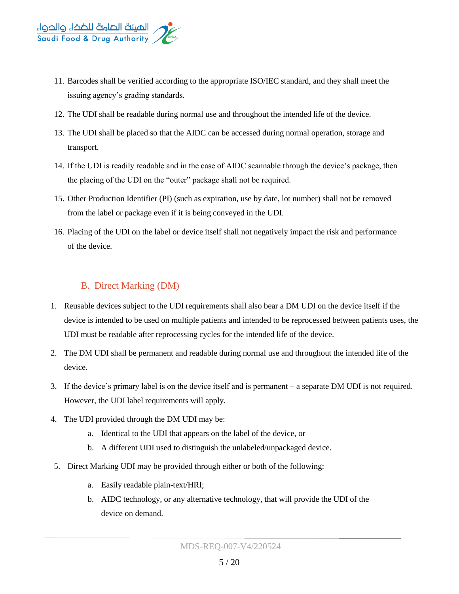

- 11. Barcodes shall be verified according to the appropriate ISO/IEC standard, and they shall meet the issuing agency's grading standards.
- 12. The UDI shall be readable during normal use and throughout the intended life of the device.
- 13. The UDI shall be placed so that the AIDC can be accessed during normal operation, storage and transport.
- 14. If the UDI is readily readable and in the case of AIDC scannable through the device's package, then the placing of the UDI on the "outer" package shall not be required.
- 15. Other Production Identifier (PI) (such as expiration, use by date, lot number) shall not be removed from the label or package even if it is being conveyed in the UDI.
- 16. Placing of the UDI on the label or device itself shall not negatively impact the risk and performance of the device.

### <span id="page-4-0"></span>B. Direct Marking (DM)

- 1. Reusable devices subject to the UDI requirements shall also bear a DM UDI on the device itself if the device is intended to be used on multiple patients and intended to be reprocessed between patients uses, the UDI must be readable after reprocessing cycles for the intended life of the device.
- 2. The DM UDI shall be permanent and readable during normal use and throughout the intended life of the device.
- 3. If the device's primary label is on the device itself and is permanent a separate DM UDI is not required. However, the UDI label requirements will apply.
- 4. The UDI provided through the DM UDI may be:
	- a. Identical to the UDI that appears on the label of the device, or
	- b. A different UDI used to distinguish the unlabeled/unpackaged device.
- 5. Direct Marking UDI may be provided through either or both of the following:
	- a. Easily readable plain-text/HRI;
	- b. AIDC technology, or any alternative technology, that will provide the UDI of the device on demand.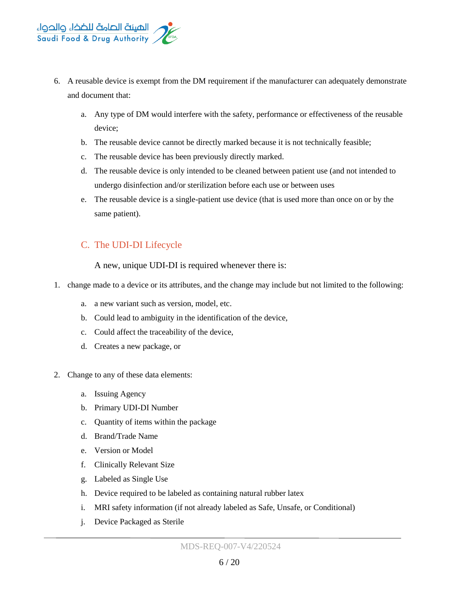

- 6. A reusable device is exempt from the DM requirement if the manufacturer can adequately demonstrate and document that:
	- a. Any type of DM would interfere with the safety, performance or effectiveness of the reusable device;
	- b. The reusable device cannot be directly marked because it is not technically feasible;
	- c. The reusable device has been previously directly marked.
	- d. The reusable device is only intended to be cleaned between patient use (and not intended to undergo disinfection and/or sterilization before each use or between uses
	- e. The reusable device is a single-patient use device (that is used more than once on or by the same patient).

#### <span id="page-5-0"></span>C. The UDI-DI Lifecycle

A new, unique UDI-DI is required whenever there is:

- 1. change made to a device or its attributes, and the change may include but not limited to the following:
	- a. a new variant such as version, model, etc.
	- b. Could lead to ambiguity in the identification of the device,
	- c. Could affect the traceability of the device,
	- d. Creates a new package, or
- 2. Change to any of these data elements:
	- a. Issuing Agency
	- b. Primary UDI-DI Number
	- c. Quantity of items within the package
	- d. Brand/Trade Name
	- e. Version or Model
	- f. Clinically Relevant Size
	- g. Labeled as Single Use
	- h. Device required to be labeled as containing natural rubber latex
	- i. MRI safety information (if not already labeled as Safe, Unsafe, or Conditional)
	- j. Device Packaged as Sterile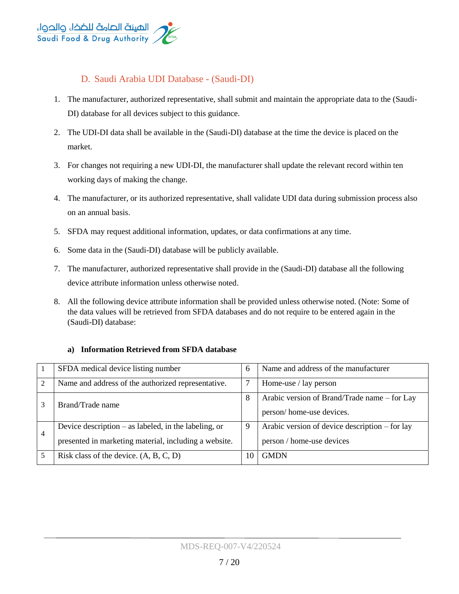

## <span id="page-6-0"></span>D. Saudi Arabia UDI Database - (Saudi-DI)

- 1. The manufacturer, authorized representative, shall submit and maintain the appropriate data to the (Saudi-DI) database for all devices subject to this guidance.
- 2. The UDI-DI data shall be available in the (Saudi-DI) database at the time the device is placed on the market.
- 3. For changes not requiring a new UDI-DI, the manufacturer shall update the relevant record within ten working days of making the change.
- 4. The manufacturer, or its authorized representative, shall validate UDI data during submission process also on an annual basis.
- 5. SFDA may request additional information, updates, or data confirmations at any time.
- 6. Some data in the (Saudi-DI) database will be publicly available.
- 7. The manufacturer, authorized representative shall provide in the (Saudi-DI) database all the following device attribute information unless otherwise noted.
- 8. All the following device attribute information shall be provided unless otherwise noted. (Note: Some of the data values will be retrieved from SFDA databases and do not require to be entered again in the (Saudi-DI) database:

#### **a) Information Retrieved from SFDA database**

|                | SFDA medical device listing number                                                                              |    | Name and address of the manufacturer                                        |
|----------------|-----------------------------------------------------------------------------------------------------------------|----|-----------------------------------------------------------------------------|
| 2              | Name and address of the authorized representative.                                                              |    | Home-use / lay person                                                       |
|                | Brand/Trade name                                                                                                |    | Arabic version of Brand/Trade name – for Lay<br>person/home-use devices.    |
| $\overline{4}$ | Device description $-$ as labeled, in the labeling, or<br>presented in marketing material, including a website. | 9  | Arabic version of device description – for lay<br>person / home-use devices |
|                | Risk class of the device. $(A, B, C, D)$                                                                        | 10 | <b>GMDN</b>                                                                 |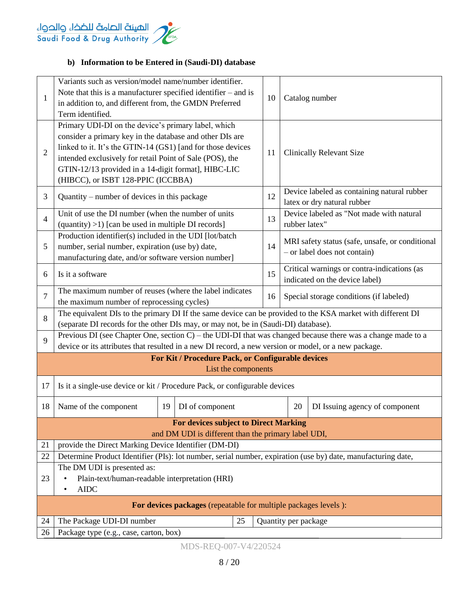

#### **b) Information to be Entered in (Saudi-DI) database**

| $\mathbf{1}$                                                                                        | Variants such as version/model name/number identifier.<br>Note that this is a manufacturer specified identifier $-$ and is<br>in addition to, and different from, the GMDN Preferred                                                                                                                                                                        |                    |    |                                                                                 | Catalog number                                                                |
|-----------------------------------------------------------------------------------------------------|-------------------------------------------------------------------------------------------------------------------------------------------------------------------------------------------------------------------------------------------------------------------------------------------------------------------------------------------------------------|--------------------|----|---------------------------------------------------------------------------------|-------------------------------------------------------------------------------|
| $\overline{2}$                                                                                      | Term identified.<br>Primary UDI-DI on the device's primary label, which<br>consider a primary key in the database and other DIs are<br>linked to it. It's the GTIN-14 (GS1) [and for those devices<br>intended exclusively for retail Point of Sale (POS), the<br>GTIN-12/13 provided in a 14-digit format], HIBC-LIC<br>(HIBCC), or ISBT 128-PPIC (ICCBBA) |                    |    |                                                                                 | <b>Clinically Relevant Size</b>                                               |
| 3                                                                                                   | Quantity – number of devices in this package                                                                                                                                                                                                                                                                                                                |                    | 12 |                                                                                 | Device labeled as containing natural rubber<br>latex or dry natural rubber    |
| $\overline{4}$                                                                                      | Unit of use the DI number (when the number of units<br>$(quantity) > 1)$ [can be used in multiple DI records]                                                                                                                                                                                                                                               |                    |    | rubber latex"                                                                   | Device labeled as "Not made with natural                                      |
| 5                                                                                                   | Production identifier(s) included in the UDI [lot/batch<br>number, serial number, expiration (use by) date,<br>manufacturing date, and/or software version number]                                                                                                                                                                                          |                    |    | MRI safety status (safe, unsafe, or conditional<br>- or label does not contain) |                                                                               |
| 6                                                                                                   | Is it a software                                                                                                                                                                                                                                                                                                                                            |                    |    |                                                                                 | Critical warnings or contra-indications (as<br>indicated on the device label) |
| 7                                                                                                   | The maximum number of reuses (where the label indicates<br>the maximum number of reprocessing cycles)                                                                                                                                                                                                                                                       |                    |    |                                                                                 | Special storage conditions (if labeled)                                       |
| 8                                                                                                   | The equivalent DIs to the primary DI If the same device can be provided to the KSA market with different DI<br>(separate DI records for the other DIs may, or may not, be in (Saudi-DI) database).                                                                                                                                                          |                    |    |                                                                                 |                                                                               |
| 9                                                                                                   | Previous DI (see Chapter One, section C) – the UDI-DI that was changed because there was a change made to a<br>device or its attributes that resulted in a new DI record, a new version or model, or a new package.                                                                                                                                         |                    |    |                                                                                 |                                                                               |
| For Kit / Procedure Pack, or Configurable devices<br>List the components                            |                                                                                                                                                                                                                                                                                                                                                             |                    |    |                                                                                 |                                                                               |
| 17                                                                                                  | Is it a single-use device or kit / Procedure Pack, or configurable devices                                                                                                                                                                                                                                                                                  |                    |    |                                                                                 |                                                                               |
| 18                                                                                                  | Name of the component                                                                                                                                                                                                                                                                                                                                       | 19 DI of component |    | 20                                                                              | DI Issuing agency of component                                                |
| <b>For devices subject to Direct Marking</b><br>and DM UDI is different than the primary label UDI, |                                                                                                                                                                                                                                                                                                                                                             |                    |    |                                                                                 |                                                                               |
| 21                                                                                                  | provide the Direct Marking Device Identifier (DM-DI)                                                                                                                                                                                                                                                                                                        |                    |    |                                                                                 |                                                                               |
| 22                                                                                                  | Determine Product Identifier (PIs): lot number, serial number, expiration (use by) date, manufacturing date,                                                                                                                                                                                                                                                |                    |    |                                                                                 |                                                                               |
| 23                                                                                                  | The DM UDI is presented as:<br>Plain-text/human-readable interpretation (HRI)<br><b>AIDC</b>                                                                                                                                                                                                                                                                |                    |    |                                                                                 |                                                                               |
| <b>For devices packages</b> (repeatable for multiple packages levels):                              |                                                                                                                                                                                                                                                                                                                                                             |                    |    |                                                                                 |                                                                               |
| 24                                                                                                  | The Package UDI-DI number<br>25<br>Quantity per package                                                                                                                                                                                                                                                                                                     |                    |    |                                                                                 |                                                                               |
| 26                                                                                                  | Package type (e.g., case, carton, box)                                                                                                                                                                                                                                                                                                                      |                    |    |                                                                                 |                                                                               |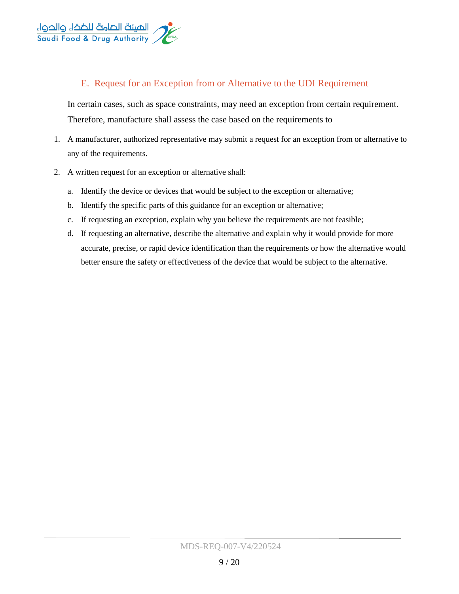

#### <span id="page-8-0"></span>E. Request for an Exception from or Alternative to the UDI Requirement

In certain cases, such as space constraints, may need an exception from certain requirement. Therefore, manufacture shall assess the case based on the requirements to

- 1. A manufacturer, authorized representative may submit a request for an exception from or alternative to any of the requirements.
- 2. A written request for an exception or alternative shall:
	- a. Identify the device or devices that would be subject to the exception or alternative;
	- b. Identify the specific parts of this guidance for an exception or alternative;
	- c. If requesting an exception, explain why you believe the requirements are not feasible;
	- d. If requesting an alternative, describe the alternative and explain why it would provide for more accurate, precise, or rapid device identification than the requirements or how the alternative would better ensure the safety or effectiveness of the device that would be subject to the alternative.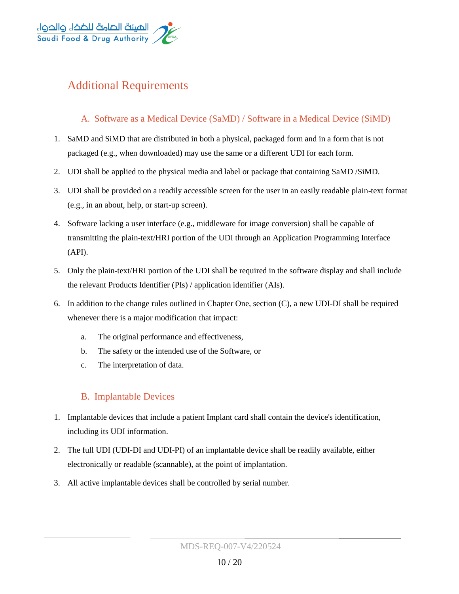

# <span id="page-9-0"></span>Additional Requirements

#### <span id="page-9-1"></span>A. Software as a Medical Device (SaMD) / Software in a Medical Device (SiMD)

- 1. SaMD and SiMD that are distributed in both a physical, packaged form and in a form that is not packaged (e.g., when downloaded) may use the same or a different UDI for each form.
- 2. UDI shall be applied to the physical media and label or package that containing SaMD /SiMD.
- 3. UDI shall be provided on a readily accessible screen for the user in an easily readable plain-text format (e.g., in an about, help, or start-up screen).
- 4. Software lacking a user interface (e.g., middleware for image conversion) shall be capable of transmitting the plain-text/HRI portion of the UDI through an Application Programming Interface (API).
- 5. Only the plain-text/HRI portion of the UDI shall be required in the software display and shall include the relevant Products Identifier (PIs) / application identifier (AIs).
- 6. In addition to the change rules outlined in Chapter One, section (C), a new UDI-DI shall be required whenever there is a major modification that impact:
	- a. The original performance and effectiveness,
	- b. The safety or the intended use of the Software, or
	- c. The interpretation of data.

### <span id="page-9-2"></span>B. Implantable Devices

- 1. Implantable devices that include a patient Implant card shall contain the device's identification, including its UDI information.
- 2. The full UDI (UDI-DI and UDI-PI) of an implantable device shall be readily available, either electronically or readable (scannable), at the point of implantation.
- 3. All active implantable devices shall be controlled by serial number.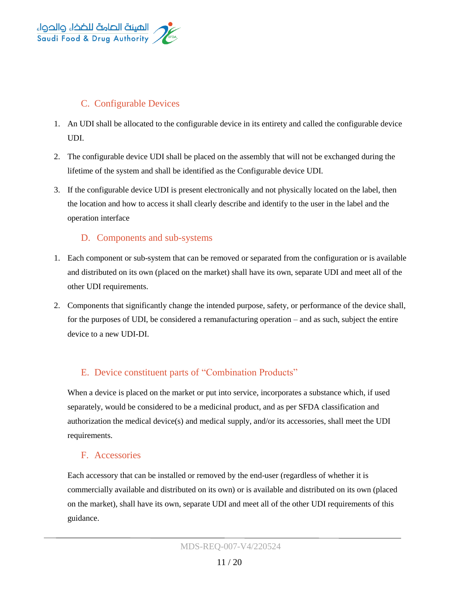

## <span id="page-10-0"></span>C. Configurable Devices

- 1. An UDI shall be allocated to the configurable device in its entirety and called the configurable device UDI.
- 2. The configurable device UDI shall be placed on the assembly that will not be exchanged during the lifetime of the system and shall be identified as the Configurable device UDI.
- 3. If the configurable device UDI is present electronically and not physically located on the label, then the location and how to access it shall clearly describe and identify to the user in the label and the operation interface

### <span id="page-10-1"></span>D. Components and sub-systems

- 1. Each component or sub-system that can be removed or separated from the configuration or is available and distributed on its own (placed on the market) shall have its own, separate UDI and meet all of the other UDI requirements.
- 2. Components that significantly change the intended purpose, safety, or performance of the device shall, for the purposes of UDI, be considered a remanufacturing operation – and as such, subject the entire device to a new UDI-DI.

## <span id="page-10-2"></span>E. Device constituent parts of "Combination Products"

When a device is placed on the market or put into service, incorporates a substance which, if used separately, would be considered to be a medicinal product, and as per SFDA classification and authorization the medical device(s) and medical supply, and/or its accessories, shall meet the UDI requirements.

#### <span id="page-10-3"></span>F. Accessories

Each accessory that can be installed or removed by the end-user (regardless of whether it is commercially available and distributed on its own) or is available and distributed on its own (placed on the market), shall have its own, separate UDI and meet all of the other UDI requirements of this guidance.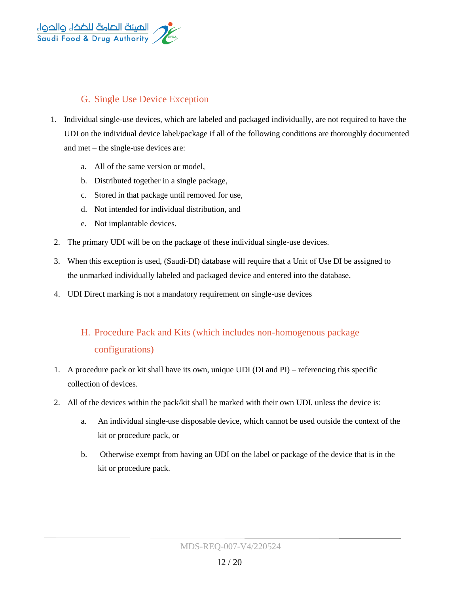

### <span id="page-11-0"></span>G. Single Use Device Exception

- 1. Individual single-use devices, which are labeled and packaged individually, are not required to have the UDI on the individual device label/package if all of the following conditions are thoroughly documented and met – the single-use devices are:
	- a. All of the same version or model,
	- b. Distributed together in a single package,
	- c. Stored in that package until removed for use,
	- d. Not intended for individual distribution, and
	- e. Not implantable devices.
- 2. The primary UDI will be on the package of these individual single-use devices.
- 3. When this exception is used, (Saudi-DI) database will require that a Unit of Use DI be assigned to the unmarked individually labeled and packaged device and entered into the database.
- 4. UDI Direct marking is not a mandatory requirement on single-use devices

# <span id="page-11-1"></span>H. Procedure Pack and Kits (which includes non-homogenous package configurations)

- 1. A procedure pack or kit shall have its own, unique UDI (DI and PI) referencing this specific collection of devices.
- 2. All of the devices within the pack/kit shall be marked with their own UDI. unless the device is:
	- a. An individual single-use disposable device, which cannot be used outside the context of the kit or procedure pack, or
	- b. Otherwise exempt from having an UDI on the label or package of the device that is in the kit or procedure pack.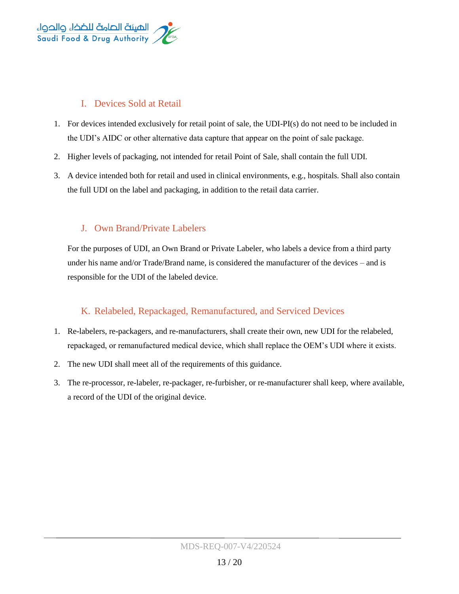

## <span id="page-12-0"></span>I. Devices Sold at Retail

- 1. For devices intended exclusively for retail point of sale, the UDI-PI(s) do not need to be included in the UDI's AIDC or other alternative data capture that appear on the point of sale package.
- 2. Higher levels of packaging, not intended for retail Point of Sale, shall contain the full UDI.
- 3. A device intended both for retail and used in clinical environments, e.g., hospitals. Shall also contain the full UDI on the label and packaging, in addition to the retail data carrier.

### <span id="page-12-1"></span>J. Own Brand/Private Labelers

For the purposes of UDI, an Own Brand or Private Labeler, who labels a device from a third party under his name and/or Trade/Brand name, is considered the manufacturer of the devices – and is responsible for the UDI of the labeled device.

### <span id="page-12-2"></span>K. Relabeled, Repackaged, Remanufactured, and Serviced Devices

- 1. Re-labelers, re-packagers, and re-manufacturers, shall create their own, new UDI for the relabeled, repackaged, or remanufactured medical device, which shall replace the OEM's UDI where it exists.
- 2. The new UDI shall meet all of the requirements of this guidance.
- 3. The re-processor, re-labeler, re-packager, re-furbisher, or re-manufacturer shall keep, where available, a record of the UDI of the original device.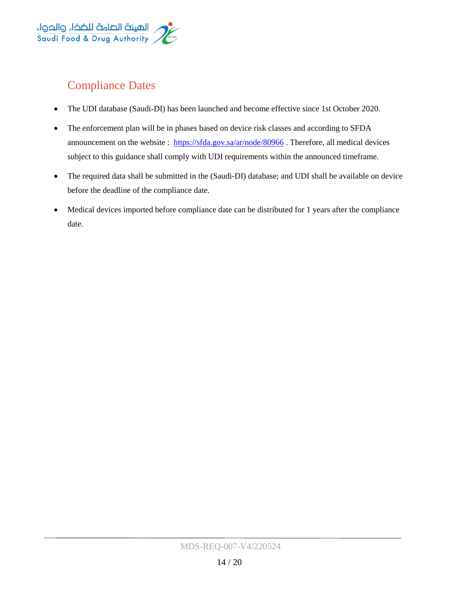

# <span id="page-13-0"></span>Compliance Dates

- The UDI database (Saudi-DI) has been launched and become effective since 1st October 2020.
- The enforcement plan will be in phases based on device risk classes and according to SFDA announcement on the website : <https://sfda.gov.sa/ar/node/80966>. Therefore, all medical devices subject to this guidance shall comply with UDI requirements within the announced timeframe.
- The required data shall be submitted in the (Saudi-DI) database; and UDI shall be available on device before the deadline of the compliance date.
- Medical devices imported before compliance date can be distributed for 1 years after the compliance date.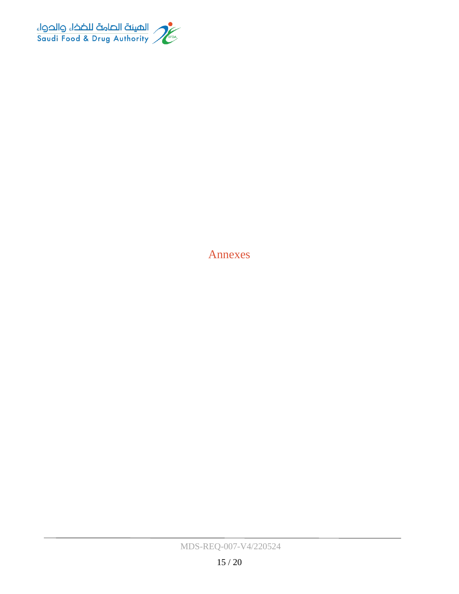

<span id="page-14-0"></span>Annexes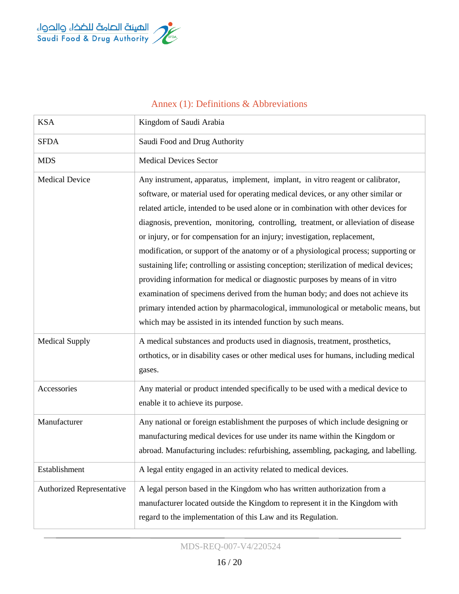

## <span id="page-15-0"></span>Annex (1): Definitions & Abbreviations

| <b>KSA</b>                       | Kingdom of Saudi Arabia                                                                                                                                                                                                                                                                                                                                                                                                                                                                                                                                                                                                                                                                                                                                                                                                                                                                                                                     |
|----------------------------------|---------------------------------------------------------------------------------------------------------------------------------------------------------------------------------------------------------------------------------------------------------------------------------------------------------------------------------------------------------------------------------------------------------------------------------------------------------------------------------------------------------------------------------------------------------------------------------------------------------------------------------------------------------------------------------------------------------------------------------------------------------------------------------------------------------------------------------------------------------------------------------------------------------------------------------------------|
| <b>SFDA</b>                      | Saudi Food and Drug Authority                                                                                                                                                                                                                                                                                                                                                                                                                                                                                                                                                                                                                                                                                                                                                                                                                                                                                                               |
| <b>MDS</b>                       | <b>Medical Devices Sector</b>                                                                                                                                                                                                                                                                                                                                                                                                                                                                                                                                                                                                                                                                                                                                                                                                                                                                                                               |
| <b>Medical Device</b>            | Any instrument, apparatus, implement, implant, in vitro reagent or calibrator,<br>software, or material used for operating medical devices, or any other similar or<br>related article, intended to be used alone or in combination with other devices for<br>diagnosis, prevention, monitoring, controlling, treatment, or alleviation of disease<br>or injury, or for compensation for an injury; investigation, replacement,<br>modification, or support of the anatomy or of a physiological process; supporting or<br>sustaining life; controlling or assisting conception; sterilization of medical devices;<br>providing information for medical or diagnostic purposes by means of in vitro<br>examination of specimens derived from the human body; and does not achieve its<br>primary intended action by pharmacological, immunological or metabolic means, but<br>which may be assisted in its intended function by such means. |
| <b>Medical Supply</b>            | A medical substances and products used in diagnosis, treatment, prosthetics,<br>orthotics, or in disability cases or other medical uses for humans, including medical<br>gases.                                                                                                                                                                                                                                                                                                                                                                                                                                                                                                                                                                                                                                                                                                                                                             |
| Accessories                      | Any material or product intended specifically to be used with a medical device to<br>enable it to achieve its purpose.                                                                                                                                                                                                                                                                                                                                                                                                                                                                                                                                                                                                                                                                                                                                                                                                                      |
| Manufacturer                     | Any national or foreign establishment the purposes of which include designing or<br>manufacturing medical devices for use under its name within the Kingdom or<br>abroad. Manufacturing includes: refurbishing, assembling, packaging, and labelling.                                                                                                                                                                                                                                                                                                                                                                                                                                                                                                                                                                                                                                                                                       |
| Establishment                    | A legal entity engaged in an activity related to medical devices.                                                                                                                                                                                                                                                                                                                                                                                                                                                                                                                                                                                                                                                                                                                                                                                                                                                                           |
| <b>Authorized Representative</b> | A legal person based in the Kingdom who has written authorization from a<br>manufacturer located outside the Kingdom to represent it in the Kingdom with<br>regard to the implementation of this Law and its Regulation.                                                                                                                                                                                                                                                                                                                                                                                                                                                                                                                                                                                                                                                                                                                    |

MDS-REQ-007-V4/220524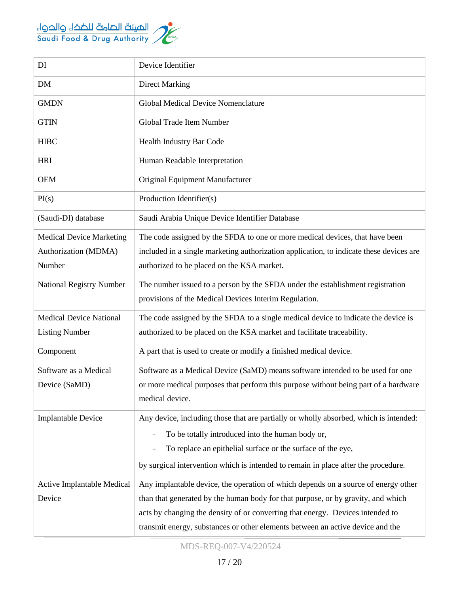

| DI                              | Device Identifier                                                                       |
|---------------------------------|-----------------------------------------------------------------------------------------|
| <b>DM</b>                       | <b>Direct Marking</b>                                                                   |
| <b>GMDN</b>                     | <b>Global Medical Device Nomenclature</b>                                               |
| <b>GTIN</b>                     | Global Trade Item Number                                                                |
| <b>HIBC</b>                     | Health Industry Bar Code                                                                |
| <b>HRI</b>                      | Human Readable Interpretation                                                           |
| <b>OEM</b>                      | Original Equipment Manufacturer                                                         |
| PI(s)                           | Production Identifier(s)                                                                |
| (Saudi-DI) database             | Saudi Arabia Unique Device Identifier Database                                          |
| <b>Medical Device Marketing</b> | The code assigned by the SFDA to one or more medical devices, that have been            |
| Authorization (MDMA)            | included in a single marketing authorization application, to indicate these devices are |
| Number                          | authorized to be placed on the KSA market.                                              |
| National Registry Number        | The number issued to a person by the SFDA under the establishment registration          |
|                                 | provisions of the Medical Devices Interim Regulation.                                   |
| <b>Medical Device National</b>  | The code assigned by the SFDA to a single medical device to indicate the device is      |
| <b>Listing Number</b>           | authorized to be placed on the KSA market and facilitate traceability.                  |
| Component                       | A part that is used to create or modify a finished medical device.                      |
| Software as a Medical           | Software as a Medical Device (SaMD) means software intended to be used for one          |
| Device (SaMD)                   | or more medical purposes that perform this purpose without being part of a hardware     |
|                                 | medical device.                                                                         |
| <b>Implantable Device</b>       | Any device, including those that are partially or wholly absorbed, which is intended:   |
|                                 | To be totally introduced into the human body or,                                        |
|                                 | To replace an epithelial surface or the surface of the eye,                             |
|                                 | by surgical intervention which is intended to remain in place after the procedure.      |
| Active Implantable Medical      | Any implantable device, the operation of which depends on a source of energy other      |
| Device                          | than that generated by the human body for that purpose, or by gravity, and which        |
|                                 | acts by changing the density of or converting that energy. Devices intended to          |
|                                 | transmit energy, substances or other elements between an active device and the          |

MDS-REQ-007-V4/220524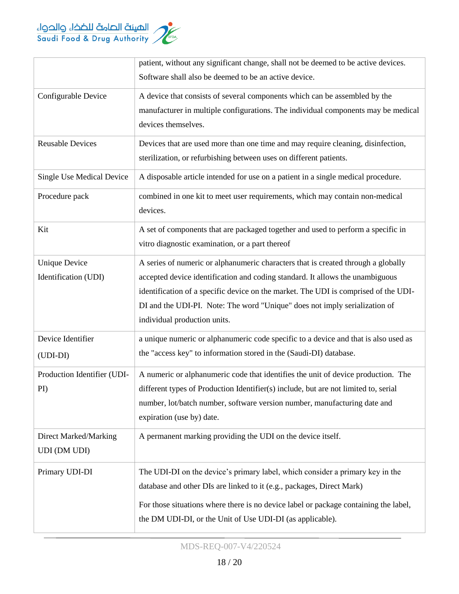

|                                  | patient, without any significant change, shall not be deemed to be active devices.   |  |  |  |
|----------------------------------|--------------------------------------------------------------------------------------|--|--|--|
|                                  | Software shall also be deemed to be an active device.                                |  |  |  |
| Configurable Device              | A device that consists of several components which can be assembled by the           |  |  |  |
|                                  | manufacturer in multiple configurations. The individual components may be medical    |  |  |  |
|                                  | devices themselves.                                                                  |  |  |  |
| <b>Reusable Devices</b>          | Devices that are used more than one time and may require cleaning, disinfection,     |  |  |  |
|                                  | sterilization, or refurbishing between uses on different patients.                   |  |  |  |
| <b>Single Use Medical Device</b> | A disposable article intended for use on a patient in a single medical procedure.    |  |  |  |
| Procedure pack                   | combined in one kit to meet user requirements, which may contain non-medical         |  |  |  |
|                                  | devices.                                                                             |  |  |  |
| Kit                              | A set of components that are packaged together and used to perform a specific in     |  |  |  |
|                                  | vitro diagnostic examination, or a part thereof                                      |  |  |  |
| <b>Unique Device</b>             | A series of numeric or alphanumeric characters that is created through a globally    |  |  |  |
| Identification (UDI)             | accepted device identification and coding standard. It allows the unambiguous        |  |  |  |
|                                  | identification of a specific device on the market. The UDI is comprised of the UDI-  |  |  |  |
|                                  | DI and the UDI-PI. Note: The word "Unique" does not imply serialization of           |  |  |  |
|                                  | individual production units.                                                         |  |  |  |
| Device Identifier                | a unique numeric or alphanumeric code specific to a device and that is also used as  |  |  |  |
| (UDI-DI)                         | the "access key" to information stored in the (Saudi-DI) database.                   |  |  |  |
| Production Identifier (UDI-      | A numeric or alphanumeric code that identifies the unit of device production. The    |  |  |  |
| $\rm{PD}$                        | different types of Production Identifier(s) include, but are not limited to, serial  |  |  |  |
|                                  | number, lot/batch number, software version number, manufacturing date and            |  |  |  |
|                                  | expiration (use by) date.                                                            |  |  |  |
| Direct Marked/Marking            | A permanent marking providing the UDI on the device itself.                          |  |  |  |
| UDI (DM UDI)                     |                                                                                      |  |  |  |
| Primary UDI-DI                   | The UDI-DI on the device's primary label, which consider a primary key in the        |  |  |  |
|                                  | database and other DIs are linked to it (e.g., packages, Direct Mark)                |  |  |  |
|                                  | For those situations where there is no device label or package containing the label, |  |  |  |
|                                  | the DM UDI-DI, or the Unit of Use UDI-DI (as applicable).                            |  |  |  |
|                                  |                                                                                      |  |  |  |

MDS-REQ-007-V4/220524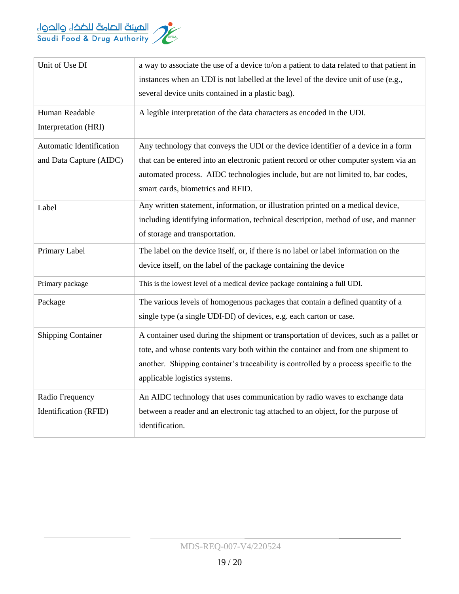

| Unit of Use DI            | a way to associate the use of a device to/on a patient to data related to that patient in |
|---------------------------|-------------------------------------------------------------------------------------------|
|                           | instances when an UDI is not labelled at the level of the device unit of use (e.g.,       |
|                           | several device units contained in a plastic bag).                                         |
| Human Readable            | A legible interpretation of the data characters as encoded in the UDI.                    |
| Interpretation (HRI)      |                                                                                           |
| Automatic Identification  | Any technology that conveys the UDI or the device identifier of a device in a form        |
| and Data Capture (AIDC)   | that can be entered into an electronic patient record or other computer system via an     |
|                           | automated process. AIDC technologies include, but are not limited to, bar codes,          |
|                           | smart cards, biometrics and RFID.                                                         |
| Label                     | Any written statement, information, or illustration printed on a medical device,          |
|                           | including identifying information, technical description, method of use, and manner       |
|                           | of storage and transportation.                                                            |
| Primary Label             | The label on the device itself, or, if there is no label or label information on the      |
|                           | device itself, on the label of the package containing the device                          |
| Primary package           | This is the lowest level of a medical device package containing a full UDI.               |
| Package                   | The various levels of homogenous packages that contain a defined quantity of a            |
|                           | single type (a single UDI-DI) of devices, e.g. each carton or case.                       |
| <b>Shipping Container</b> | A container used during the shipment or transportation of devices, such as a pallet or    |
|                           | tote, and whose contents vary both within the container and from one shipment to          |
|                           | another. Shipping container's traceability is controlled by a process specific to the     |
|                           | applicable logistics systems.                                                             |
| Radio Frequency           | An AIDC technology that uses communication by radio waves to exchange data                |
| Identification (RFID)     | between a reader and an electronic tag attached to an object, for the purpose of          |
|                           | identification.                                                                           |